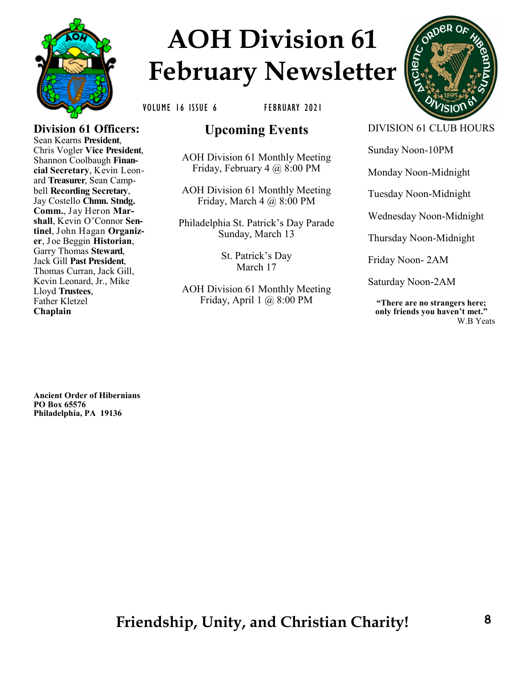

# **AOH Division 61 February Newsletter**



VOLUME 16 ISSUE 6 FEBRUARY 2021

#### **Division 61 Officers:** Sean Kearns **President**, Chris Vogler **Vice President**, Shannon Coolbaugh **Financial Secretary**, Kevin Leonard **Treasurer**, Sean Campbell **Recording Secretary**, Jay Costello **Chmn. Stndg. Comm.**, Jay Heron **Marshall**, Kevin O'Connor **Sentinel**, John Hagan **Organizer**, Joe Beggin **Historian**, Garry Thomas **Steward**, Jack Gill **Past President**, Thomas Curran, Jack Gill, Kevin Leonard, Jr., Mike

Lloyd **Trustees**, Father Kletzel **Chaplain**

# **Upcoming Events**

AOH Division 61 Monthly Meeting Friday, February 4 @ 8:00 PM

AOH Division 61 Monthly Meeting Friday, March  $4 \text{ } (a) 8:00 \text{ } PM$ 

Philadelphia St. Patrick's Day Parade Sunday, March 13

> St. Patrick's Day March 17

AOH Division 61 Monthly Meeting Friday, April 1 @ 8:00 PM

DIVISION 61 CLUB HOURS

Sunday Noon-10PM

Monday Noon-Midnight

Tuesday Noon-Midnight

Wednesday Noon-Midnight

Thursday Noon-Midnight

Friday Noon- 2AM

Saturday Noon-2AM

**"There are no strangers here; only friends you haven't met."** W.B Yeats

**Ancient Order of Hibernians PO Box 65576 Philadelphia, PA 19136**

# **Friendship, Unity, and Christian Charity!**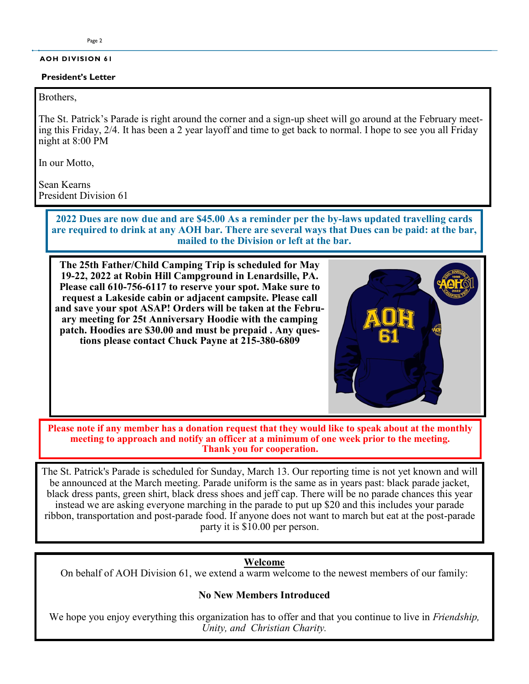#### **AOH DIVISION 61**

#### **President's Letter**

#### Brothers,

The St. Patrick's Parade is right around the corner and a sign-up sheet will go around at the February meeting this Friday, 2/4. It has been a 2 year layoff and time to get back to normal. I hope to see you all Friday night at 8:00 PM

In our Motto,

Sean Kearns President Division 61

> **2022 Dues are now due and are \$45.00 As a reminder per the by-laws updated travelling cards are required to drink at any AOH bar. There are several ways that Dues can be paid: at the bar, mailed to the Division or left at the bar.**

**The 25th Father/Child Camping Trip is scheduled for May 19-22, 2022 at Robin Hill Campground in Lenardsille, PA. Please call 610-756-6117 to reserve your spot. Make sure to request a Lakeside cabin or adjacent campsite. Please call and save your spot ASAP! Orders will be taken at the February meeting for 25t Anniversary Hoodie with the camping patch. Hoodies are \$30.00 and must be prepaid . Any questions please contact Chuck Payne at 215-380-6809**



**Please note if any member has a donation request that they would like to speak about at the monthly meeting to approach and notify an officer at a minimum of one week prior to the meeting. Thank you for cooperation.** 

The St. Patrick's Parade is scheduled for Sunday, March 13. Our reporting time is not yet known and will be announced at the March meeting. Parade uniform is the same as in years past: black parade jacket, black dress pants, green shirt, black dress shoes and jeff cap. There will be no parade chances this year instead we are asking everyone marching in the parade to put up \$20 and this includes your parade ribbon, transportation and post-parade food. If anyone does not want to march but eat at the post-parade party it is \$10.00 per person.

#### **Welcome**

On behalf of AOH Division 61, we extend a warm welcome to the newest members of our family:

#### **No New Members Introduced**

We hope you enjoy everything this organization has to offer and that you continue to live in *Friendship, Unity, and Christian Charity.*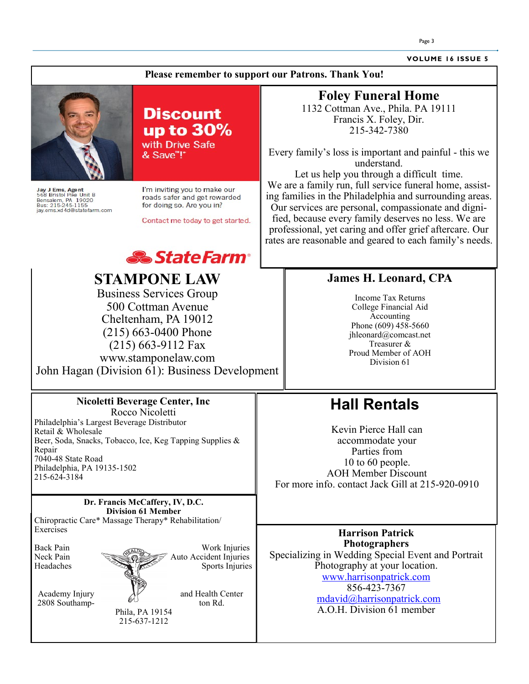**VOLUME 16 ISSUE 5**

#### **Please remember to support our Patrons. Thank You!**



Jay J Ems, Agent<br>568 Bristol Pike Unit B<br>Bensalem, PA 19020<br>Bus: 215-245-1155<br>jay.ems.xd4d@statefarm.com



I'm inviting you to make our roads safer and get rewarded for doing so. Are you in?

Contact me today to get started.



# **STAMPONE LAW**

Business Services Group 500 Cottman Avenue Cheltenham, PA 19012 (215) 663-0400 Phone (215) 663-9112 Fax www.stamponelaw.com John Hagan (Division 61): Business Development

> **Nicoletti Beverage Center, Inc** Rocco Nicoletti

Beer, Soda, Snacks, Tobacco, Ice, Keg Tapping Supplies &

Philadelphia's Largest Beverage Distributor

## **Foley Funeral Home**

1132 Cottman Ave., Phila. PA 19111 Francis X. Foley, Dir. 215-342-7380

Every family's loss is important and painful - this we understand.

Let us help you through a difficult time. We are a family run, full service funeral home, assisting families in the Philadelphia and surrounding areas. Our services are personal, compassionate and dignified, because every family deserves no less. We are professional, yet caring and offer grief aftercare. Our rates are reasonable and geared to each family's needs.

#### **James H. Leonard, CPA**

Income Tax Returns College Financial Aid Accounting Phone (609) 458-5660 jhleonard@comcast.net Treasurer & Proud Member of AOH Division 61

## **Hall Rentals**

Kevin Pierce Hall can accommodate your Parties from 10 to 60 people. AOH Member Discount For more info. contact Jack Gill at 215-920-0910

**Dr. Francis McCaffery, IV, D.C. Division 61 Member** Chiropractic Care\* Massage Therapy\* Rehabilitation/ **Exercises** 



2808 Southamp-

Retail & Wholesale

7040-48 State Road

215-624-3184

Philadelphia, PA 19135-1502

Repair

Academy Injury and Health Center<br>2808 Southamp-<br>ton Rd

Phila, PA 19154 215-637-1212

**Harrison Patrick Photographers** Specializing in Wedding Special Event and Portrait Photography at your location. www.harrisonpatrick.com 856-423-7367 mdavid@harrisonpatrick.com A.O.H. Division 61 member